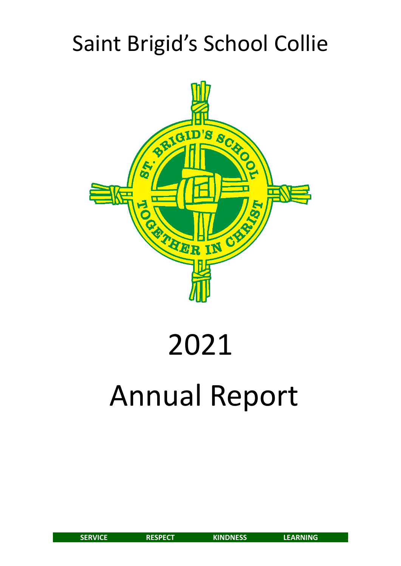# Saint Brigid's School Collie



# 2021 Annual Report

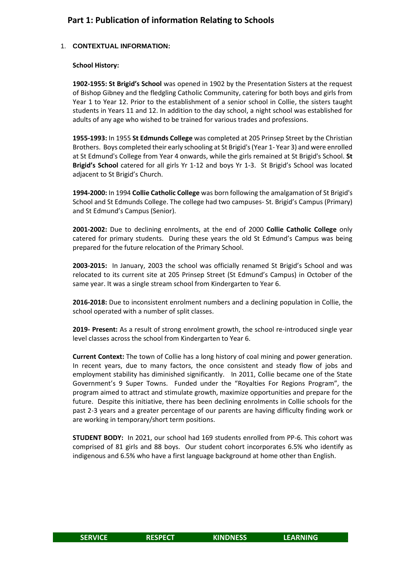## **Part 1: Publication of information Relating to Schools**

#### 1. **CONTEXTUAL INFORMATION:**

#### **School History:**

**1902-1955: St Brigid's School** was opened in 1902 by the Presentation Sisters at the request of Bishop Gibney and the fledgling Catholic Community, catering for both boys and girls from Year 1 to Year 12. Prior to the establishment of a senior school in Collie, the sisters taught students in Years 11 and 12. In addition to the day school, a night school was established for adults of any age who wished to be trained for various trades and professions.

**1955-1993:** In 1955 **St Edmunds College** was completed at 205 Prinsep Street by the Christian Brothers. Boys completed their early schooling at St Brigid's (Year 1- Year 3) and were enrolled at St Edmund's College from Year 4 onwards, while the girls remained at St Brigid's School. **St Brigid's School** catered for all girls Yr 1-12 and boys Yr 1-3. St Brigid's School was located adjacent to St Brigid's Church.

**1994-2000:** In 1994 **Collie Catholic College** was born following the amalgamation of St Brigid's School and St Edmunds College. The college had two campuses- St. Brigid's Campus (Primary) and St Edmund's Campus (Senior).

**2001-2002:** Due to declining enrolments, at the end of 2000 **Collie Catholic College** only catered for primary students. During these years the old St Edmund's Campus was being prepared for the future relocation of the Primary School.

**2003-2015:** In January, 2003 the school was officially renamed St Brigid's School and was relocated to its current site at 205 Prinsep Street (St Edmund's Campus) in October of the same year. It was a single stream school from Kindergarten to Year 6.

**2016-2018:** Due to inconsistent enrolment numbers and a declining population in Collie, the school operated with a number of split classes.

**2019- Present:** As a result of strong enrolment growth, the school re-introduced single year level classes across the school from Kindergarten to Year 6.

**Current Context:** The town of Collie has a long history of coal mining and power generation. In recent years, due to many factors, the once consistent and steady flow of jobs and employment stability has diminished significantly. In 2011, Collie became one of the State Government's 9 Super Towns. Funded under the "Royalties For Regions Program", the program aimed to attract and stimulate growth, maximize opportunities and prepare for the future. Despite this initiative, there has been declining enrolments in Collie schools for the past 2-3 years and a greater percentage of our parents are having difficulty finding work or are working in temporary/short term positions.

**STUDENT BODY:** In 2021, our school had 169 students enrolled from PP-6. This cohort was comprised of 81 girls and 88 boys. Our student cohort incorporates 6.5% who identify as indigenous and 6.5% who have a first language background at home other than English.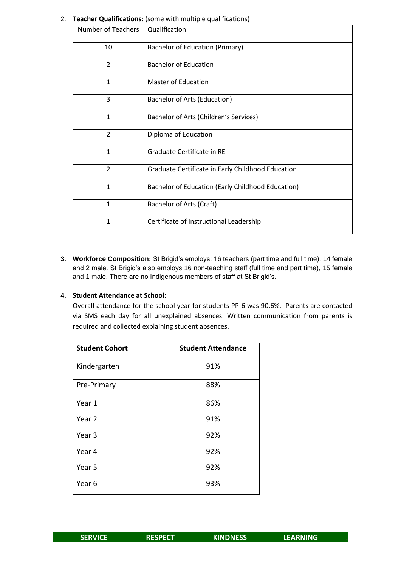| <b>Number of Teachers</b> | Qualification                                     |
|---------------------------|---------------------------------------------------|
| 10                        | Bachelor of Education (Primary)                   |
| $\overline{2}$            | <b>Bachelor of Education</b>                      |
| $\mathbf{1}$              | <b>Master of Education</b>                        |
| 3                         | Bachelor of Arts (Education)                      |
| $\mathbf{1}$              | Bachelor of Arts (Children's Services)            |
| $\overline{2}$            | Diploma of Education                              |
| $\mathbf{1}$              | Graduate Certificate in RE                        |
| $\overline{2}$            | Graduate Certificate in Early Childhood Education |
| 1                         | Bachelor of Education (Early Childhood Education) |
| $\mathbf{1}$              | Bachelor of Arts (Craft)                          |
| $\mathbf{1}$              | Certificate of Instructional Leadership           |

#### 2. **Teacher Qualifications:** (some with multiple qualifications)

**3. Workforce Composition:** St Brigid's employs: 16 teachers (part time and full time), 14 female and 2 male. St Brigid's also employs 16 non-teaching staff (full time and part time), 15 female and 1 male. There are no Indigenous members of staff at St Brigid's.

#### **4. Student Attendance at School:**

Overall attendance for the school year for students PP-6 was 90.6%. Parents are contacted via SMS each day for all unexplained absences. Written communication from parents is required and collected explaining student absences.

| <b>Student Cohort</b> | <b>Student Attendance</b> |
|-----------------------|---------------------------|
| Kindergarten          | 91%                       |
| Pre-Primary           | 88%                       |
| Year 1                | 86%                       |
| Year 2                | 91%                       |
| Year 3                | 92%                       |
| Year 4                | 92%                       |
| Year 5                | 92%                       |
| Year <sub>6</sub>     | 93%                       |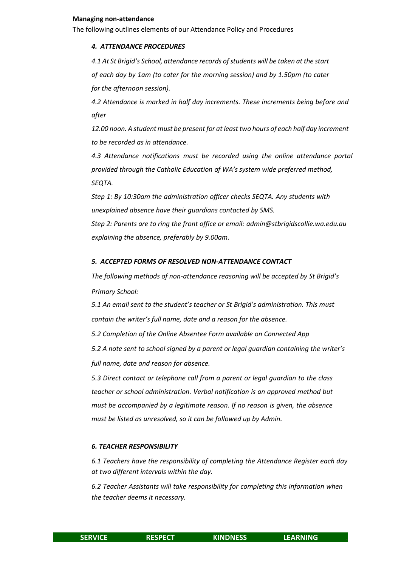#### **Managing non-attendance**

The following outlines elements of our Attendance Policy and Procedures

#### *4. ATTENDANCE PROCEDURES*

*4.1 At St Brigid's School, attendance records of students will be taken at the start of each day by 1am (to cater for the morning session) and by 1.50pm (to cater for the afternoon session).*

*4.2 Attendance is marked in half day increments. These increments being before and after*

*12.00 noon. A student must be present for at least two hours of each half day increment to be recorded as in attendance.*

*4.3 Attendance notifications must be recorded using the online attendance portal provided through the Catholic Education of WA's system wide preferred method, SEQTA.*

*Step 1: By 10:30am the administration officer checks SEQTA. Any students with unexplained absence have their guardians contacted by SMS.*

*Step 2: Parents are to ring the front office or email: [admin@stbrigidscollie.wa.edu.au](mailto:admin@stbrigidscollie.wa.edu.au) explaining the absence, preferably by 9.00am.*

#### *5. ACCEPTED FORMS OF RESOLVED NON-ATTENDANCE CONTACT*

*The following methods of non-attendance reasoning will be accepted by St Brigid's Primary School:*

*5.1 An email sent to the student's teacher or St Brigid's administration. This must contain the writer's full name, date and a reason for the absence.*

*5.2 Completion of the Online Absentee Form available on Connected App*

*5.2 A note sent to school signed by a parent or legal guardian containing the writer's full name, date and reason for absence.*

*5.3 Direct contact or telephone call from a parent or legal guardian to the class teacher or school administration. Verbal notification is an approved method but must be accompanied by a legitimate reason. If no reason is given, the absence must be listed as unresolved, so it can be followed up by Admin.*

#### *6. TEACHER RESPONSIBILITY*

*6.1 Teachers have the responsibility of completing the Attendance Register each day at two different intervals within the day.*

*6.2 Teacher Assistants will take responsibility for completing this information when the teacher deems it necessary.*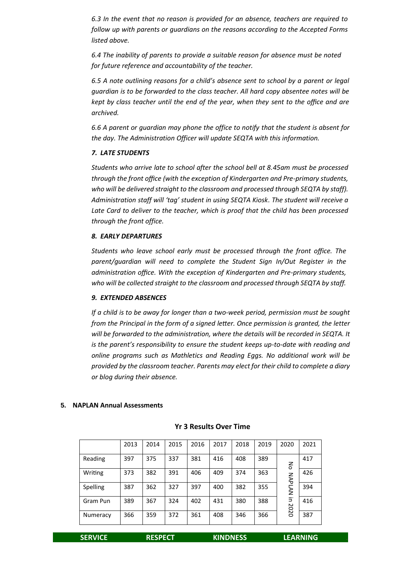*6.3 In the event that no reason is provided for an absence, teachers are required to follow up with parents or guardians on the reasons according to the Accepted Forms listed above.*

*6.4 The inability of parents to provide a suitable reason for absence must be noted for future reference and accountability of the teacher.*

*6.5 A note outlining reasons for a child's absence sent to school by a parent or legal guardian is to be forwarded to the class teacher. All hard copy absentee notes will be kept by class teacher until the end of the year, when they sent to the office and are archived.*

*6.6 A parent or guardian may phone the office to notify that the student is absent for the day. The Administration Officer will update SEQTA with this information.*

#### *7. LATE STUDENTS*

*Students who arrive late to school after the school bell at 8.45am must be processed through the front office (with the exception of Kindergarten and Pre-primary students, who will be delivered straight to the classroom and processed through SEQTA by staff). Administration staff will 'tag' student in using SEQTA Kiosk. The student will receive a Late Card to deliver to the teacher, which is proof that the child has been processed through the front office.*

#### *8. EARLY DEPARTURES*

*Students who leave school early must be processed through the front office. The parent/guardian will need to complete the Student Sign In/Out Register in the administration office. With the exception of Kindergarten and Pre-primary students, who will be collected straight to the classroom and processed through SEQTA by staff.*

#### *9. EXTENDED ABSENCES*

*If a child is to be away for longer than a two-week period, permission must be sought from the Principal in the form of a signed letter. Once permission is granted, the letter will be forwarded to the administration, where the details will be recorded in SEQTA. It is the parent's responsibility to ensure the student keeps up-to-date with reading and online programs such as Mathletics and Reading Eggs. No additional work will be provided by the classroom teacher. Parents may elect for their child to complete a diary or blog during their absence.*

#### **5. NAPLAN Annual Assessments**

#### **Yr 3 Results Over Time**

|          | 2013 | 2014 | 2015 | 2016 | 2017 | 2018 | 2019 | 2020          | 2021 |
|----------|------|------|------|------|------|------|------|---------------|------|
| Reading  | 397  | 375  | 337  | 381  | 416  | 408  | 389  | 중             | 417  |
| Writing  | 373  | 382  | 391  | 406  | 409  | 374  | 363  |               | 426  |
| Spelling | 387  | 362  | 327  | 397  | 400  | 382  | 355  | <b>NAPLAN</b> | 394  |
| Gram Pun | 389  | 367  | 324  | 402  | 431  | 380  | 388  | Ξ.            | 416  |
| Numeracy | 366  | 359  | 372  | 361  | 408  | 346  | 366  | 2020          | 387  |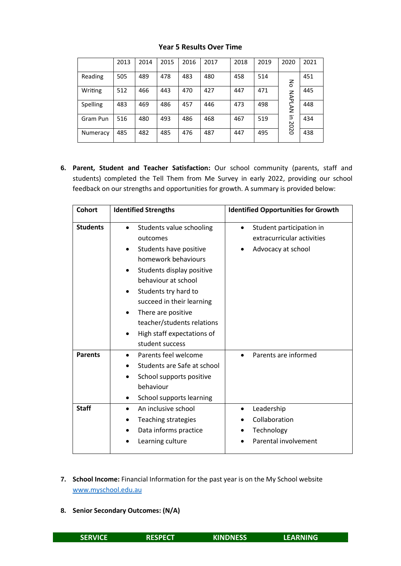|          | 2013 | 2014 | 2015 | 2016 | 2017 | 2018 | 2019 | 2020          | 2021 |
|----------|------|------|------|------|------|------|------|---------------|------|
| Reading  | 505  | 489  | 478  | 483  | 480  | 458  | 514  | 증             | 451  |
| Writing  | 512  | 466  | 443  | 470  | 427  | 447  | 471  |               | 445  |
| Spelling | 483  | 469  | 486  | 457  | 446  | 473  | 498  | NAPLAN        | 448  |
| Gram Pun | 516  | 480  | 493  | 486  | 468  | 467  | 519  | $\Xi$<br>2020 | 434  |
| Numeracy | 485  | 482  | 485  | 476  | 487  | 447  | 495  |               | 438  |

#### **Year 5 Results Over Time**

**6. Parent, Student and Teacher Satisfaction:** Our school community (parents, staff and students) completed the Tell Them from Me Survey in early 2022, providing our school feedback on our strengths and opportunities for growth. A summary is provided below:

| <b>Cohort</b>   | <b>Identified Strengths</b>                                                                                                                                                                                                                                                                                                                | <b>Identified Opportunities for Growth</b>                                                |
|-----------------|--------------------------------------------------------------------------------------------------------------------------------------------------------------------------------------------------------------------------------------------------------------------------------------------------------------------------------------------|-------------------------------------------------------------------------------------------|
| <b>Students</b> | Students value schooling<br>outcomes<br>Students have positive<br>homework behaviours<br>Students display positive<br>behaviour at school<br>Students try hard to<br>$\bullet$<br>succeed in their learning<br>There are positive<br>$\bullet$<br>teacher/students relations<br>High staff expectations of<br>$\bullet$<br>student success | Student participation in<br>$\bullet$<br>extracurricular activities<br>Advocacy at school |
| <b>Parents</b>  | Parents feel welcome<br>Students are Safe at school<br>School supports positive<br>behaviour<br>School supports learning<br>٠                                                                                                                                                                                                              | Parents are informed                                                                      |
| <b>Staff</b>    | An inclusive school<br>Teaching strategies<br>Data informs practice<br>$\bullet$<br>Learning culture                                                                                                                                                                                                                                       | Leadership<br>Collaboration<br>Technology<br>Parental involvement                         |

- **7. School Income:** Financial Information for the past year is on the My School website [www.myschool.edu.au](http://www.myschool.edu.au/)
- **8. Senior Secondary Outcomes: (N/A)**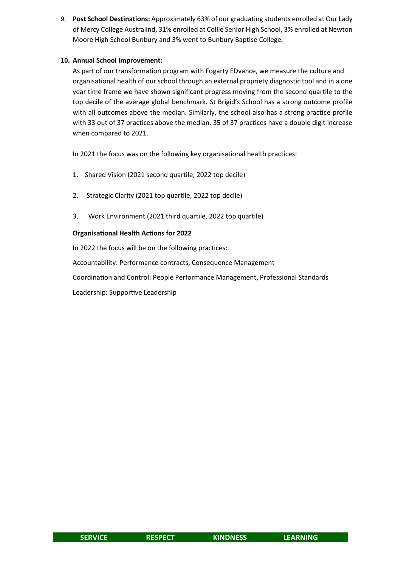9. **Post School Destinations:** Approximately 63% of our graduating students enrolled at Our Lady of Mercy College Australind, 31% enrolled at Collie Senior High School, 3% enrolled at Newton Moore High School Bunbury and 3% went to Bunbury Baptise College.

#### **10. Annual School Improvement:**

As part of our transformation program with Fogarty EDvance, we measure the culture and organisational health of our school through an external propriety diagnostic tool and in a one year time frame we have shown significant progress moving from the second quartile to the top decile of the average global benchmark. St Brigid's School has a strong outcome profile with all outcomes above the median. Similarly, the school also has a strong practice profile with 33 out of 37 practices above the median. 35 of 37 practices have a double digit increase when compared to 2021.

In 2021 the focus was on the following key organisational health practices:

- 1. Shared Vision (2021 second quartile, 2022 top decile)
- 2. Strategic Clarity (2021 top quartile, 2022 top decile)
- 3. Work Environment (2021 third quartile, 2022 top quartile)

#### **Organisational Health Actions for 2022**

In 2022 the focus will be on the following practices:

Accountability: Performance contracts, Consequence Management

Coordination and Control: People Performance Management, Professional Standards

Leadership: Supportive Leadership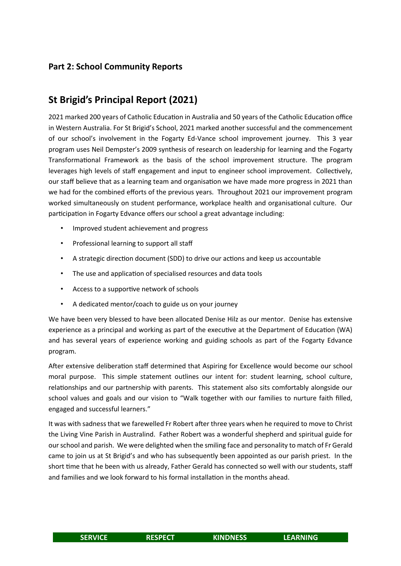## **Part 2: School Community Reports**

# **St Brigid's Principal Report (2021)**

2021 marked 200 years of Catholic Education in Australia and 50 years of the Catholic Education office in Western Australia. For St Brigid's School, 2021 marked another successful and the commencement of our school's involvement in the Fogarty Ed-Vance school improvement journey. This 3 year program uses Neil Dempster's 2009 synthesis of research on leadership for learning and the Fogarty Transformational Framework as the basis of the school improvement structure. The program leverages high levels of staff engagement and input to engineer school improvement. Collectively, our staff believe that as a learning team and organisation we have made more progress in 2021 than we had for the combined efforts of the previous years. Throughout 2021 our improvement program worked simultaneously on student performance, workplace health and organisational culture. Our participation in Fogarty Edvance offers our school a great advantage including:

- Improved student achievement and progress
- Professional learning to support all staff
- A strategic direction document (SDD) to drive our actions and keep us accountable
- The use and application of specialised resources and data tools
- Access to a supportive network of schools
- A dedicated mentor/coach to guide us on your journey

We have been very blessed to have been allocated Denise Hilz as our mentor. Denise has extensive experience as a principal and working as part of the executive at the Department of Education (WA) and has several years of experience working and guiding schools as part of the Fogarty Edvance program.

After extensive deliberation staff determined that Aspiring for Excellence would become our school moral purpose. This simple statement outlines our intent for: student learning, school culture, relationships and our partnership with parents. This statement also sits comfortably alongside our school values and goals and our vision to "Walk together with our families to nurture faith filled, engaged and successful learners."

It was with sadness that we farewelled Fr Robert after three years when he required to move to Christ the Living Vine Parish in Australind. Father Robert was a wonderful shepherd and spiritual guide for our school and parish. We were delighted when the smiling face and personality to match of Fr Gerald came to join us at St Brigid's and who has subsequently been appointed as our parish priest. In the short time that he been with us already, Father Gerald has connected so well with our students, staff and families and we look forward to his formal installation in the months ahead.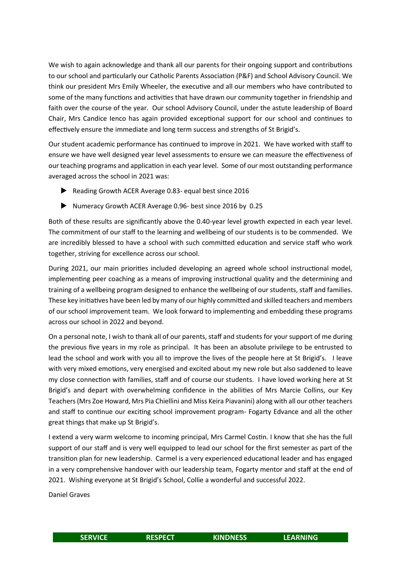We wish to again acknowledge and thank all our parents for their ongoing support and contributions to our school and particularly our Catholic Parents Association (P&F) and School Advisory Council. We think our president Mrs Emily Wheeler, the executive and all our members who have contributed to some of the many functions and activities that have drawn our community together in friendship and faith over the course of the year. Our school Advisory Council, under the astute leadership of Board Chair, Mrs Candice Ienco has again provided exceptional support for our school and continues to effectively ensure the immediate and long term success and strengths of St Brigid's.

Our student academic performance has continued to improve in 2021. We have worked with staff to ensure we have well designed year level assessments to ensure we can measure the effectiveness of our teaching programs and application in each year level. Some of our most outstanding performance averaged across the school in 2021 was:

- Reading Growth ACER Average 0.83- equal best since 2016
- Numeracy Growth ACER Average 0.96- best since 2016 by 0.25

Both of these results are significantly above the 0.40-year level growth expected in each year level. The commitment of our staff to the learning and wellbeing of our students is to be commended. We are incredibly blessed to have a school with such committed education and service staff who work together, striving for excellence across our school.

During 2021, our main priorities included developing an agreed whole school instructional model, implementing peer coaching as a means of improving instructional quality and the determining and training of a wellbeing program designed to enhance the wellbeing of our students, staff and families. These key initiatives have been led by many of our highly committed and skilled teachers and members of our school improvement team. We look forward to implementing and embedding these programs across our school in 2022 and beyond.

On a personal note, I wish to thank all of our parents, staff and students for your support of me during the previous five years in my role as principal. It has been an absolute privilege to be entrusted to lead the school and work with you all to improve the lives of the people here at St Brigid's. I leave with very mixed emotions, very energised and excited about my new role but also saddened to leave my close connection with families, staff and of course our students. I have loved working here at St Brigid's and depart with overwhelming confidence in the abilities of Mrs Marcie Collins, our Key Teachers (Mrs Zoe Howard, Mrs Pia Chiellini and Miss Keira Piavanini) along with all our other teachers and staff to continue our exciting school improvement program- Fogarty Edvance and all the other great things that make up St Brigid's.

I extend a very warm welcome to incoming principal, Mrs Carmel Costin. I know that she has the full support of our staff and is very well equipped to lead our school for the first semester as part of the transition plan for new leadership. Carmel is a very experienced educational leader and has engaged in a very comprehensive handover with our leadership team, Fogarty mentor and staff at the end of 2021. Wishing everyone at St Brigid's School, Collie a wonderful and successful 2022.

Daniel Graves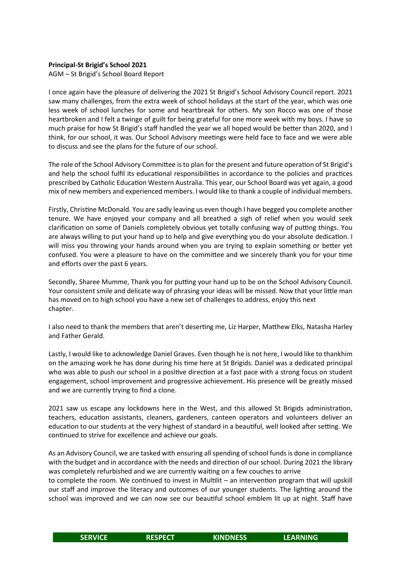#### **Principal-St Brigid's School 2021**

AGM – St Brigid's School Board Report

I once again have the pleasure of delivering the 2021 St Brigid's School Advisory Council report. 2021 saw many challenges, from the extra week of school holidays at the start of the year, which was one less week of school lunches for some and heartbreak for others. My son Rocco was one of those heartbroken and I felt a twinge of guilt for being grateful for one more week with my boys. I have so much praise for how St Brigid's staff handled the year we all hoped would be better than 2020, and I think, for our school, it was. Our School Advisory meetings were held face to face and we were able to discuss and see the plans for the future of our school.

The role of the School Advisory Committee is to plan for the present and future operation of St Brigid's and help the school fulfil its educational responsibilities in accordance to the policies and practices prescribed by Catholic Education Western Australia. This year, our School Board was yet again, a good mix of new members and experienced members. I would like to thank a couple of individual members.

Firstly, Christine McDonald. You are sadly leaving us even though I have begged you complete another tenure. We have enjoyed your company and all breathed a sigh of relief when you would seek clarification on some of Daniels completely obvious yet totally confusing way of putting things. You are always willing to put your hand up to help and give everything you do your absolute dedication. I will miss you throwing your hands around when you are trying to explain something or better yet confused. You were a pleasure to have on the committee and we sincerely thank you for your time and efforts over the past 6 years.

Secondly, Sharee Mumme, Thank you for putting your hand up to be on the School Advisory Council. Your consistent smile and delicate way of phrasing your ideas will be missed. Now that your little man has moved on to high school you have a new set of challenges to address, enjoy this next chapter.

I also need to thank the members that aren't deserting me, Liz Harper, Matthew Elks, Natasha Harley and Father Gerald.

Lastly, I would like to acknowledge Daniel Graves. Even though he is not here, I would like to thankhim on the amazing work he has done during his time here at St Brigids. Daniel was a dedicated principal who was able to push our school in a positive direction at a fast pace with a strong focus on student engagement, school improvement and progressive achievement. His presence will be greatly missed and we are currently trying to find a clone.

2021 saw us escape any lockdowns here in the West, and this allowed St Brigids administration, teachers, education assistants, cleaners, gardeners, canteen operators and volunteers deliver an education to our students at the very highest of standard in a beautiful, well looked after setting. We continued to strive for excellence and achieve our goals.

As an Advisory Council, we are tasked with ensuring all spending of school funds is done in compliance with the budget and in accordance with the needs and direction of our school. During 2021 the library was completely refurbished and we are currently waiting on a few couches to arrive

to complete the room. We continued to invest in Multilit – an intervention program that will upskill our staff and improve the literacy and outcomes of our younger students. The lighting around the school was improved and we can now see our beautiful school emblem lit up at night. Staff have